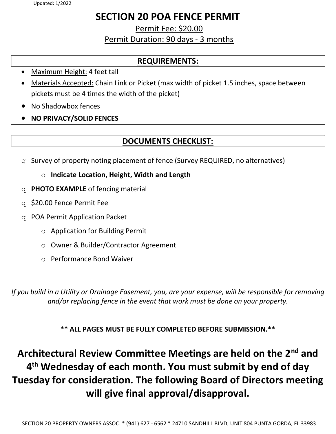# SECTION 20 POA FENCE PERMIT

Permit Fee: \$20.00 Permit Duration: 90 days - 3 months

### REQUIREMENTS:

- Maximum Height: 4 feet tall
- Materials Accepted: Chain Link or Picket (max width of picket 1.5 inches, space between pickets must be 4 times the width of the picket)
- No Shadowbox fences
- NO PRIVACY/SOLID FENCES

## DOCUMENTS CHECKLIST:

- q Survey of property noting placement of fence (Survey REQUIRED, no alternatives)
	- o Indicate Location, Height, Width and Length
- $q$  **PHOTO EXAMPLE** of fencing material
- q \$20.00 Fence Permit Fee
- q POA Permit Application Packet
	- o Application for Building Permit
	- o Owner & Builder/Contractor Agreement
	- o Performance Bond Waiver

If you build in a Utility or Drainage Easement, you, are your expense, will be responsible for removing and/or replacing fence in the event that work must be done on your property.

\*\* ALL PAGES MUST BE FULLY COMPLETED BEFORE SUBMISSION.\*\*

Architectural Review Committee Meetings are held on the 2<sup>nd</sup> and 4 th Wednesday of each month. You must submit by end of day Tuesday for consideration. The following Board of Directors meeting will give final approval/disapproval.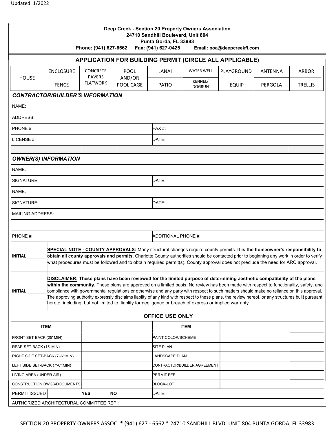| <b>APPLICATION FOR BUILDING PERMIT (CIRCLE ALL APPLICABLE)</b><br><b>WATER WELL</b><br><b>CONCRETE</b><br><b>ENCLOSURE</b><br><b>POOL</b><br>LANAI<br>PLAYGROUND<br>ANTENNA<br><b>ARBOR</b><br><b>PAVERS</b><br>AND/OR<br><b>HOUSE</b><br>KENNEL/<br><b>FLATWORK</b><br><b>FENCE</b><br>POOL CAGE<br>PATIO<br><b>EQUIP</b><br>PERGOLA<br><b>TRELLIS</b><br><b>DOGRUN</b><br><b>CONTRACTOR/BUILDER'S INFORMATION</b><br>NAME:<br>ADDRESS:<br><b>FAX#:</b><br>PHONE #:<br>LICENSE #:<br>DATE:<br><b>OWNER(S) INFORMATION</b><br>NAME:<br>DATE:<br>SIGNATURE:<br>NAME:<br>DATE:<br>SIGNATURE:<br><b>MAILING ADDRESS:</b><br>PHONE #:<br><b>ADDITIONAL PHONE #:</b><br>SPECIAL NOTE - COUNTY APPROVALS: Many structural changes require county permits. It is the homeowner's responsibility to<br>obtain all county approvals and permits. Charlotte County authorities should be contacted prior to beginning any work in order to verify<br><b>INITIAL</b><br>what procedures must be followed and to obtain required permit(s). County approval does not preclude the need for ARC approval.<br>DISCLAIMER: These plans have been reviewed for the limited purpose of determining aesthetic compatibility of the plans<br>within the community. These plans are approved on a limited basis. No review has been made with respect to functionality, safety, and<br>compliance with governmental regulations or otherwise and any party with respect to such matters should make no reliance on this approval.<br>INITIAL<br>The approving authority expressly disclaims liablity of any kind with respect to these plans, the review hereof, or any structures built pursuant<br>hereto, including, but not limited to, liablity for negligence or breach of express or implied warranty.<br><b>OFFICE USE ONLY</b><br><b>ITEM</b><br><b>ITEM</b><br>PAINT COLOR/SCHEME<br>FRONT SET-BACK (25' MIN)<br>SITE PLAN<br>REAR SET-BACK (15' MIN)<br>RIGHT SIDE SET-BACK (7'-6":MIN)<br>ANDSCAPE PLAN<br>CONTRACTOR/BUILDER AGREEMENT<br>LEFT SIDE SET-BACK (7'-6":MIN)<br>LIVING AREA (UNDER AIR)<br>PERMIT FEE<br>CONSTRUCTION DWGS/DOCUMENTS<br>BLOCK-LOT<br><b>NO</b><br>DATE:<br>PERMIT ISSUED<br><b>YES</b><br>AUTHORIZED ARCHITECTURAL COMMITTEE REP.: |  |  | Phone: (941) 627-6562 |  | Punta Gorda, FL 33983<br>Fax: (941) 627-0425 | Deep Creek - Section 20 Property Owners Association<br>24710 Sandhill Boulevard, Unit 804 | Email: poa@deepcreekfl.com |  |  |  |
|---------------------------------------------------------------------------------------------------------------------------------------------------------------------------------------------------------------------------------------------------------------------------------------------------------------------------------------------------------------------------------------------------------------------------------------------------------------------------------------------------------------------------------------------------------------------------------------------------------------------------------------------------------------------------------------------------------------------------------------------------------------------------------------------------------------------------------------------------------------------------------------------------------------------------------------------------------------------------------------------------------------------------------------------------------------------------------------------------------------------------------------------------------------------------------------------------------------------------------------------------------------------------------------------------------------------------------------------------------------------------------------------------------------------------------------------------------------------------------------------------------------------------------------------------------------------------------------------------------------------------------------------------------------------------------------------------------------------------------------------------------------------------------------------------------------------------------------------------------------------------------------------------------------------------------------------------------------------------------------------------------------------------------------------------------------------------------------------------------------------------------------------------------------------------------------------------------------------------------------------------------|--|--|-----------------------|--|----------------------------------------------|-------------------------------------------------------------------------------------------|----------------------------|--|--|--|
|                                                                                                                                                                                                                                                                                                                                                                                                                                                                                                                                                                                                                                                                                                                                                                                                                                                                                                                                                                                                                                                                                                                                                                                                                                                                                                                                                                                                                                                                                                                                                                                                                                                                                                                                                                                                                                                                                                                                                                                                                                                                                                                                                                                                                                                         |  |  |                       |  |                                              |                                                                                           |                            |  |  |  |
|                                                                                                                                                                                                                                                                                                                                                                                                                                                                                                                                                                                                                                                                                                                                                                                                                                                                                                                                                                                                                                                                                                                                                                                                                                                                                                                                                                                                                                                                                                                                                                                                                                                                                                                                                                                                                                                                                                                                                                                                                                                                                                                                                                                                                                                         |  |  |                       |  |                                              |                                                                                           |                            |  |  |  |
|                                                                                                                                                                                                                                                                                                                                                                                                                                                                                                                                                                                                                                                                                                                                                                                                                                                                                                                                                                                                                                                                                                                                                                                                                                                                                                                                                                                                                                                                                                                                                                                                                                                                                                                                                                                                                                                                                                                                                                                                                                                                                                                                                                                                                                                         |  |  |                       |  |                                              |                                                                                           |                            |  |  |  |
|                                                                                                                                                                                                                                                                                                                                                                                                                                                                                                                                                                                                                                                                                                                                                                                                                                                                                                                                                                                                                                                                                                                                                                                                                                                                                                                                                                                                                                                                                                                                                                                                                                                                                                                                                                                                                                                                                                                                                                                                                                                                                                                                                                                                                                                         |  |  |                       |  |                                              |                                                                                           |                            |  |  |  |
|                                                                                                                                                                                                                                                                                                                                                                                                                                                                                                                                                                                                                                                                                                                                                                                                                                                                                                                                                                                                                                                                                                                                                                                                                                                                                                                                                                                                                                                                                                                                                                                                                                                                                                                                                                                                                                                                                                                                                                                                                                                                                                                                                                                                                                                         |  |  |                       |  |                                              |                                                                                           |                            |  |  |  |
|                                                                                                                                                                                                                                                                                                                                                                                                                                                                                                                                                                                                                                                                                                                                                                                                                                                                                                                                                                                                                                                                                                                                                                                                                                                                                                                                                                                                                                                                                                                                                                                                                                                                                                                                                                                                                                                                                                                                                                                                                                                                                                                                                                                                                                                         |  |  |                       |  |                                              |                                                                                           |                            |  |  |  |
|                                                                                                                                                                                                                                                                                                                                                                                                                                                                                                                                                                                                                                                                                                                                                                                                                                                                                                                                                                                                                                                                                                                                                                                                                                                                                                                                                                                                                                                                                                                                                                                                                                                                                                                                                                                                                                                                                                                                                                                                                                                                                                                                                                                                                                                         |  |  |                       |  |                                              |                                                                                           |                            |  |  |  |
|                                                                                                                                                                                                                                                                                                                                                                                                                                                                                                                                                                                                                                                                                                                                                                                                                                                                                                                                                                                                                                                                                                                                                                                                                                                                                                                                                                                                                                                                                                                                                                                                                                                                                                                                                                                                                                                                                                                                                                                                                                                                                                                                                                                                                                                         |  |  |                       |  |                                              |                                                                                           |                            |  |  |  |
|                                                                                                                                                                                                                                                                                                                                                                                                                                                                                                                                                                                                                                                                                                                                                                                                                                                                                                                                                                                                                                                                                                                                                                                                                                                                                                                                                                                                                                                                                                                                                                                                                                                                                                                                                                                                                                                                                                                                                                                                                                                                                                                                                                                                                                                         |  |  |                       |  |                                              |                                                                                           |                            |  |  |  |
|                                                                                                                                                                                                                                                                                                                                                                                                                                                                                                                                                                                                                                                                                                                                                                                                                                                                                                                                                                                                                                                                                                                                                                                                                                                                                                                                                                                                                                                                                                                                                                                                                                                                                                                                                                                                                                                                                                                                                                                                                                                                                                                                                                                                                                                         |  |  |                       |  |                                              |                                                                                           |                            |  |  |  |
|                                                                                                                                                                                                                                                                                                                                                                                                                                                                                                                                                                                                                                                                                                                                                                                                                                                                                                                                                                                                                                                                                                                                                                                                                                                                                                                                                                                                                                                                                                                                                                                                                                                                                                                                                                                                                                                                                                                                                                                                                                                                                                                                                                                                                                                         |  |  |                       |  |                                              |                                                                                           |                            |  |  |  |
|                                                                                                                                                                                                                                                                                                                                                                                                                                                                                                                                                                                                                                                                                                                                                                                                                                                                                                                                                                                                                                                                                                                                                                                                                                                                                                                                                                                                                                                                                                                                                                                                                                                                                                                                                                                                                                                                                                                                                                                                                                                                                                                                                                                                                                                         |  |  |                       |  |                                              |                                                                                           |                            |  |  |  |
|                                                                                                                                                                                                                                                                                                                                                                                                                                                                                                                                                                                                                                                                                                                                                                                                                                                                                                                                                                                                                                                                                                                                                                                                                                                                                                                                                                                                                                                                                                                                                                                                                                                                                                                                                                                                                                                                                                                                                                                                                                                                                                                                                                                                                                                         |  |  |                       |  |                                              |                                                                                           |                            |  |  |  |
|                                                                                                                                                                                                                                                                                                                                                                                                                                                                                                                                                                                                                                                                                                                                                                                                                                                                                                                                                                                                                                                                                                                                                                                                                                                                                                                                                                                                                                                                                                                                                                                                                                                                                                                                                                                                                                                                                                                                                                                                                                                                                                                                                                                                                                                         |  |  |                       |  |                                              |                                                                                           |                            |  |  |  |
|                                                                                                                                                                                                                                                                                                                                                                                                                                                                                                                                                                                                                                                                                                                                                                                                                                                                                                                                                                                                                                                                                                                                                                                                                                                                                                                                                                                                                                                                                                                                                                                                                                                                                                                                                                                                                                                                                                                                                                                                                                                                                                                                                                                                                                                         |  |  |                       |  |                                              |                                                                                           |                            |  |  |  |
|                                                                                                                                                                                                                                                                                                                                                                                                                                                                                                                                                                                                                                                                                                                                                                                                                                                                                                                                                                                                                                                                                                                                                                                                                                                                                                                                                                                                                                                                                                                                                                                                                                                                                                                                                                                                                                                                                                                                                                                                                                                                                                                                                                                                                                                         |  |  |                       |  |                                              |                                                                                           |                            |  |  |  |
|                                                                                                                                                                                                                                                                                                                                                                                                                                                                                                                                                                                                                                                                                                                                                                                                                                                                                                                                                                                                                                                                                                                                                                                                                                                                                                                                                                                                                                                                                                                                                                                                                                                                                                                                                                                                                                                                                                                                                                                                                                                                                                                                                                                                                                                         |  |  |                       |  |                                              |                                                                                           |                            |  |  |  |
|                                                                                                                                                                                                                                                                                                                                                                                                                                                                                                                                                                                                                                                                                                                                                                                                                                                                                                                                                                                                                                                                                                                                                                                                                                                                                                                                                                                                                                                                                                                                                                                                                                                                                                                                                                                                                                                                                                                                                                                                                                                                                                                                                                                                                                                         |  |  |                       |  |                                              |                                                                                           |                            |  |  |  |
|                                                                                                                                                                                                                                                                                                                                                                                                                                                                                                                                                                                                                                                                                                                                                                                                                                                                                                                                                                                                                                                                                                                                                                                                                                                                                                                                                                                                                                                                                                                                                                                                                                                                                                                                                                                                                                                                                                                                                                                                                                                                                                                                                                                                                                                         |  |  |                       |  |                                              |                                                                                           |                            |  |  |  |
|                                                                                                                                                                                                                                                                                                                                                                                                                                                                                                                                                                                                                                                                                                                                                                                                                                                                                                                                                                                                                                                                                                                                                                                                                                                                                                                                                                                                                                                                                                                                                                                                                                                                                                                                                                                                                                                                                                                                                                                                                                                                                                                                                                                                                                                         |  |  |                       |  |                                              |                                                                                           |                            |  |  |  |
|                                                                                                                                                                                                                                                                                                                                                                                                                                                                                                                                                                                                                                                                                                                                                                                                                                                                                                                                                                                                                                                                                                                                                                                                                                                                                                                                                                                                                                                                                                                                                                                                                                                                                                                                                                                                                                                                                                                                                                                                                                                                                                                                                                                                                                                         |  |  |                       |  |                                              |                                                                                           |                            |  |  |  |
|                                                                                                                                                                                                                                                                                                                                                                                                                                                                                                                                                                                                                                                                                                                                                                                                                                                                                                                                                                                                                                                                                                                                                                                                                                                                                                                                                                                                                                                                                                                                                                                                                                                                                                                                                                                                                                                                                                                                                                                                                                                                                                                                                                                                                                                         |  |  |                       |  |                                              |                                                                                           |                            |  |  |  |
|                                                                                                                                                                                                                                                                                                                                                                                                                                                                                                                                                                                                                                                                                                                                                                                                                                                                                                                                                                                                                                                                                                                                                                                                                                                                                                                                                                                                                                                                                                                                                                                                                                                                                                                                                                                                                                                                                                                                                                                                                                                                                                                                                                                                                                                         |  |  |                       |  |                                              |                                                                                           |                            |  |  |  |
|                                                                                                                                                                                                                                                                                                                                                                                                                                                                                                                                                                                                                                                                                                                                                                                                                                                                                                                                                                                                                                                                                                                                                                                                                                                                                                                                                                                                                                                                                                                                                                                                                                                                                                                                                                                                                                                                                                                                                                                                                                                                                                                                                                                                                                                         |  |  |                       |  |                                              |                                                                                           |                            |  |  |  |
|                                                                                                                                                                                                                                                                                                                                                                                                                                                                                                                                                                                                                                                                                                                                                                                                                                                                                                                                                                                                                                                                                                                                                                                                                                                                                                                                                                                                                                                                                                                                                                                                                                                                                                                                                                                                                                                                                                                                                                                                                                                                                                                                                                                                                                                         |  |  |                       |  |                                              |                                                                                           |                            |  |  |  |
|                                                                                                                                                                                                                                                                                                                                                                                                                                                                                                                                                                                                                                                                                                                                                                                                                                                                                                                                                                                                                                                                                                                                                                                                                                                                                                                                                                                                                                                                                                                                                                                                                                                                                                                                                                                                                                                                                                                                                                                                                                                                                                                                                                                                                                                         |  |  |                       |  |                                              |                                                                                           |                            |  |  |  |
|                                                                                                                                                                                                                                                                                                                                                                                                                                                                                                                                                                                                                                                                                                                                                                                                                                                                                                                                                                                                                                                                                                                                                                                                                                                                                                                                                                                                                                                                                                                                                                                                                                                                                                                                                                                                                                                                                                                                                                                                                                                                                                                                                                                                                                                         |  |  |                       |  |                                              |                                                                                           |                            |  |  |  |
|                                                                                                                                                                                                                                                                                                                                                                                                                                                                                                                                                                                                                                                                                                                                                                                                                                                                                                                                                                                                                                                                                                                                                                                                                                                                                                                                                                                                                                                                                                                                                                                                                                                                                                                                                                                                                                                                                                                                                                                                                                                                                                                                                                                                                                                         |  |  |                       |  |                                              |                                                                                           |                            |  |  |  |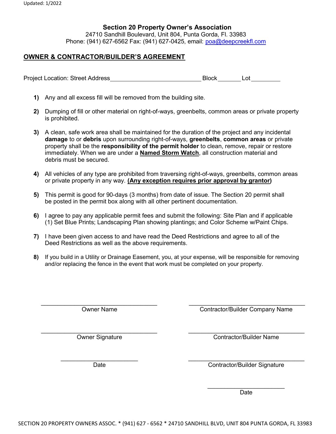#### Section 20 Property Owner's Association

24710 Sandhill Boulevard, Unit 804, Punta Gorda, Fl. 33983 Phone: (941) 627-6562 Fax: (941) 627-0425, email: poa@deepcreekfl.com

#### OWNER & CONTRACTOR/BUILDER'S AGREEMENT

Project Location: Street Address Block Block Lot

- 1) Any and all excess fill will be removed from the building site.
- 2) Dumping of fill or other material on right-of-ways, greenbelts, common areas or private property is prohibited.
- 3) A clean, safe work area shall be maintained for the duration of the project and any incidental damage to or debris upon surrounding right-of-ways, greenbelts, common areas or private property shall be the responsibility of the permit holder to clean, remove, repair or restore immediately. When we are under a **Named Storm Watch**, all construction material and debris must be secured.
- 4) All vehicles of any type are prohibited from traversing right-of-ways, greenbelts, common areas or private property in any way. (Any exception requires prior approval by grantor)
- 5) This permit is good for 90-days (3 months) from date of issue. The Section 20 permit shall be posted in the permit box along with all other pertinent documentation.
- 6) I agree to pay any applicable permit fees and submit the following: Site Plan and if applicable (1) Set Blue Prints; Landscaping Plan showing plantings; and Color Scheme w/Paint Chips.
- 7) I have been given access to and have read the Deed Restrictions and agree to all of the Deed Restrictions as well as the above requirements.
- 8) If you build in a Utility or Drainage Easement, you, at your expense, will be responsible for removing and/or replacing the fence in the event that work must be completed on your property.

 $\_$  , and the contribution of the contribution of  $\_$  . The contribution of  $\_$  ,  $\_$  ,  $\_$  ,  $\_$  ,  $\_$  ,  $\_$  ,  $\_$  ,  $\_$  ,  $\_$  ,  $\_$  ,  $\_$  ,  $\_$  ,  $\_$  ,  $\_$  ,  $\_$  ,  $\_$  ,  $\_$  ,  $\_$  ,  $\_$  ,  $\_$  ,  $\_$  ,  $\_$  ,  $\_$  ,  $\_$  , Owner Name Contractor/Builder Company Name \_\_\_\_\_\_\_\_\_\_\_\_\_\_\_\_\_\_\_\_\_\_\_\_\_\_\_\_\_\_\_\_\_\_\_ \_\_\_\_\_\_\_\_\_\_\_\_\_\_\_\_\_\_\_\_\_\_\_\_\_\_\_\_\_\_\_\_\_\_\_

Owner Signature Contractor/Builder Name

Date Contractor/Builder Signature

\_\_\_\_\_\_\_\_\_\_\_\_\_\_\_\_\_\_\_\_\_\_\_ \_\_\_\_\_\_\_\_\_\_\_\_\_\_\_\_\_\_\_\_\_\_\_\_\_\_\_\_\_\_\_\_\_\_\_

 $\overline{\phantom{a}}$  , where  $\overline{\phantom{a}}$ Date